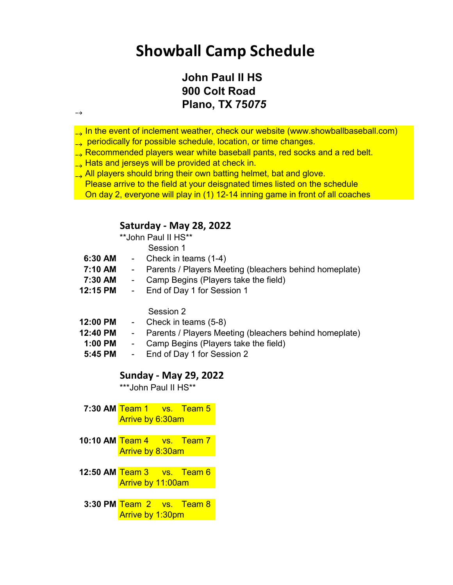## **Showball Camp Schedule**

### **John Paul II HS 900 Colt Road Plano, TX 75***075*

- $\sim$  In the event of inclement weather, check our website (www.showballbaseball.com)  $\rightarrow$
- $\rightarrow$  periodically for possible schedule, location, or time changes.  $\rightarrow$
- Recommended players wear white baseball pants, red socks and a red belt.  $\rightarrow$
- Hats and jerseys will be provided at check in.  $\rightarrow$

 $\rightarrow$ 

 All players should bring their own batting helmet, bat and glove. Please arrive to the field at your deisgnated times listed on the schedule  $\rightarrow$ On day 2, everyone will play in (1) 12-14 inning game in front of all coaches

#### **Saturday - May 28, 2022**

\*\*John Paul II HS\*\*

Session 1

- **6:30 AM** Check in teams (1-4)
- **7:10 AM** Parents / Players Meeting (bleachers behind homeplate)
- **7:30 AM** Camp Begins (Players take the field)
- **12:15 PM** End of Day 1 for Session 1

Session 2

- **12:00 PM** Check in teams (5-8)
- **12:40 PM** Parents / Players Meeting (bleachers behind homeplate)
- **1:00 PM** Camp Begins (Players take the field)
- **5:45 PM** End of Day 1 for Session 2

#### **Sunday - May 29, 2022**

\*\*\*John Paul II HS\*\*

**7:30 AM** Team 1 vs. Team 5 Arrive by 6:30am

- **10:10 AM** Team 4 vs. Team 7 Arrive by 8:30am
- **12:50 AM** Team 3 vs. Team 6 Arrive by 11:00am
- **3:30 PM** Team 2 vs. Team 8 Arrive by 1:30pm